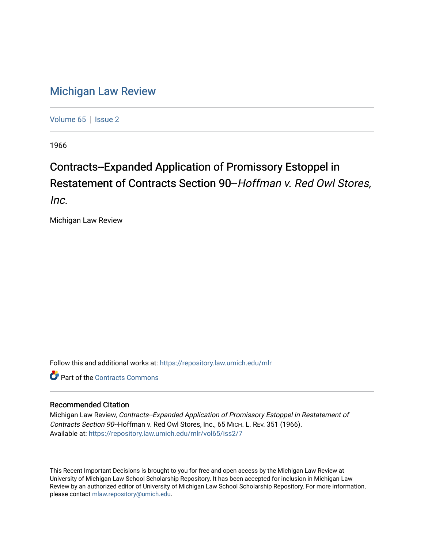## [Michigan Law Review](https://repository.law.umich.edu/mlr)

[Volume 65](https://repository.law.umich.edu/mlr/vol65) | [Issue 2](https://repository.law.umich.edu/mlr/vol65/iss2)

1966

## Contracts--Expanded Application of Promissory Estoppel in Restatement of Contracts Section 90--Hoffman v. Red Owl Stores,

Inc.

Michigan Law Review

Follow this and additional works at: [https://repository.law.umich.edu/mlr](https://repository.law.umich.edu/mlr?utm_source=repository.law.umich.edu%2Fmlr%2Fvol65%2Fiss2%2F7&utm_medium=PDF&utm_campaign=PDFCoverPages) 

**C** Part of the [Contracts Commons](http://network.bepress.com/hgg/discipline/591?utm_source=repository.law.umich.edu%2Fmlr%2Fvol65%2Fiss2%2F7&utm_medium=PDF&utm_campaign=PDFCoverPages)

## Recommended Citation

Michigan Law Review, Contracts--Expanded Application of Promissory Estoppel in Restatement of Contracts Section 90-Hoffman v. Red Owl Stores, Inc., 65 MICH. L. REV. 351 (1966). Available at: [https://repository.law.umich.edu/mlr/vol65/iss2/7](https://repository.law.umich.edu/mlr/vol65/iss2/7?utm_source=repository.law.umich.edu%2Fmlr%2Fvol65%2Fiss2%2F7&utm_medium=PDF&utm_campaign=PDFCoverPages)

This Recent Important Decisions is brought to you for free and open access by the Michigan Law Review at University of Michigan Law School Scholarship Repository. It has been accepted for inclusion in Michigan Law Review by an authorized editor of University of Michigan Law School Scholarship Repository. For more information, please contact [mlaw.repository@umich.edu.](mailto:mlaw.repository@umich.edu)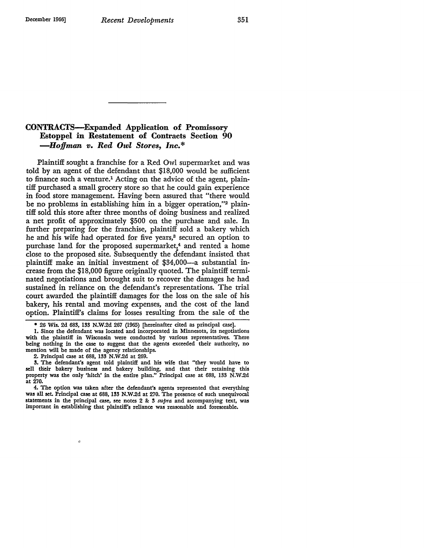## CONTRACTS-Expanded Application of Promissory Estoppel in Restatement of Contracts Section 90 *-Hoffman v. Red Owl Stores, Inc.\**

Plaintiff sought a franchise for a Red Owl supermarket and was told by an agent of the defendant that \$18,000 would be sufficient to finance such a venture.<sup>1</sup> Acting on the advice of the agent, plaintiff purchased a small grocery store so that he could gain experience in food store management. Having been assured that "there would be no problems in establishing him in a bigger operation,"2 plaintiff sold this store after three months of doing business and realized a net profit of approximately \$500 on the purchase and sale. In further preparing for the franchise, plaintiff sold a bakery which he and his wife had operated for five years,<sup>3</sup> secured an option to purchase land for the proposed supermarket,<sup>4</sup> and rented a home close to the proposed site. Subsequently the defendant insisted that plaintiff make an initial investment of \$34,000-a substantial increase from the \$18,000 figure originally quoted. The plaintiff terminated negotiations and brought suit to recover the damages he had sustained in reliance on the defendant's representations. The trial court awarded the plaintiff damages for the loss on the sale of his bakery, his rental and moving expenses, and the cost of the land option. Plaintiff's claims for losses resulting from the sale of the

2. Principal case at 688, 133 N.W.2d at 269.

ó

<sup>• 26</sup> Wis. 2d **683,** 133 N.W.2d 267 (1965) [hereinafter cited as principal case].

<sup>1.</sup> Since the defendant was located and incorporated in Minnesota, its negotiations with the plaintiff in Wisconsin were conducted by various representatives. There being nothing in the case to suggest that the agents exceeded their authority, no mention will be made of the agency relationships.

<sup>3.</sup> The defendant's agent told plaintiff and his wife that "they would have to sell their bakery business and bakery building, and that their retaining this property was the only 'hitch' in the entire plan." Principal case at 688, 133 N.W.2d at 270.

<sup>4.</sup> The option was taken after the **defendant's** agents represented that everything was all set. Principal case at 688, 133 N.W.2d at 270. The presence of such unequivocal statements in the principal case, see notes 2 & 3 *supra* and accompanying text, was important in establishing that plaintiff's reliance was reasonable and foreseeable.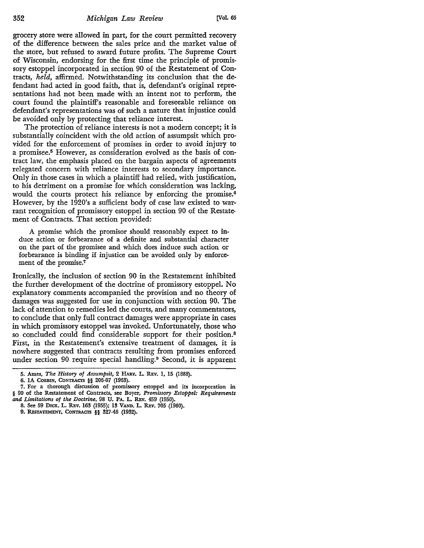grocery store were allowed in part, for the court permitted recovery of the difference between the sales price and the market value of the store, but refused to award future profits. The Supreme Court of Wisconsin, endorsing for the first time the principle of promissory estoppel incorporated in section 90 of the Restatement of Contracts, *held,* affirmed. Notwithstanding its conclusion that the defendant had acted in good faith, that is, defendant's original representations had not been made with an intent not to perform, the court found the plaintiff's reasonable and foreseeable reliance on defendant's representations was of such a nature that injustice could be avoided only by protecting that reliance interest.

The protection of reliance interests is not a modern concept; it is substantially coincident with the old action of assumpsit which provided for the enforcement of promises in order to avoid injury to a promisee.5 However, as consideration evolved as the basis of contract law, the emphasis placed on the bargain aspects of agreements relegated concern with reliance interests to secondary importance. Only in those cases in which a plaintiff had relied, with justification, to his detriment on a promise for which consideration was lacking, would the courts protect his reliance by enforcing the promise.<sup>6</sup> However, by the 1920's a sufficient body of case law existed to warrant recognition of promissory estoppel in section 90 of the Restate• ment of Contracts. That section provided:

A promise which the promisor should reasonably expect to induce action or forbearance of a definite and substantial character on the part of the promisee and which does induce such action or forbearance is binding if injustice can be avoided only by enforcement of the promise.<sup>7</sup>

Ironically, the inclusion of section 90 in the Restatement inhibited the further development of the doctrine of promissory estoppel. No explanatory comments accompanied the provision and no theory of damages was suggested for use in conjunction with section 90. The lack of attention to remedies led the courts, and many commentators, to conclude that only full contract damages were appropriate in cases in which promissory estoppel was invoked. Unfortunately, those who so concluded could find considerable support for their position.<sup>8</sup> First, in the Restatement's extensive treatment of damages, it is nowhere suggested that contracts resulting from promises enforced under section 90 require special handling.<sup>9</sup> Second, it is apparent

*<sup>5.</sup>* Aines, *The History of Assumpsit,* 2 HARv. L REv. I, 15 (1888).

<sup>6.</sup> IA CORBIN, CONTRACTS §§ 206-07 (1963).

<sup>7.</sup> For a thorough discussion of promissory estoppel and its incorporation in § 90 of the Restatement of Contracts, see Boyer, *Promissory Estoppel: Requirements and Limitations of the Doctrine,* 98 U. PA. L. REv. 459 (1950).

<sup>8.</sup> See 59 DICK. L. REv. 163 (1955); 13 VAND. L. REv. 705 (1960).

<sup>9.</sup> RESTATEMENT, CONTRACTS §§ 327-46 (1932).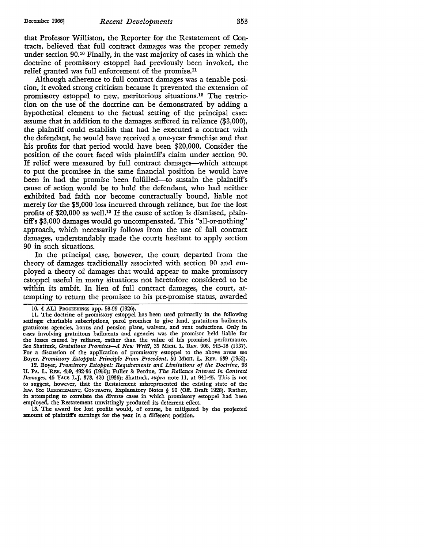that Professor Williston, the Reporter for the Restatement of Contracts, believed that full contract damages was the proper remedy under section 90.1° Finally, in the vast majority of cases in which the doctrine of promissory estoppel had previously been invoked, the relief granted was full enforcement of the promise.11

Although adherence to full contract damages was a tenable position, it evoked strong criticism because it prevented the extension of promissory estoppel to new, meritorious situations.12 The restriction on the use of the doctrine can be demonstrated by adding a hypothetical element to the factual setting of the principal case: assume that in addition to the damages suffered in reliance (\$3,000), the plaintiff could establish that had he executed a contract with the defendant, he would have received a one-year franchise and that his profits for that period would have been \$20,000. Consider the position of the court faced with plaintiff's claim under section 90. If relief were measured by full contract damages-which attempt to put the promisee in the same financial position he would have been in had the promise been fulfilled-to sustain the plaintiff's cause of action would be to hold the defendant, who had neither exhibited bad faith nor become contractually bound, liable not merely for the \$3,000 loss incurred through reliance, but for the lost profits of \$20,000 as well.<sup>13</sup> If the cause of action is dismissed, plaintiff's \$3,000 damages would go uncompensated. This "all-or-nothing" approach, which necessarily follows from the use of full contract damages, understandably made the courts hesitant to apply section 90 in such situations.

In the principal case, however, the court departed from the theory of damages traditionally associated with section 90 and employed a theory of damages that would appear to make promissory estoppel useful in many situations not heretofore considered to be within its ambit. In lieu of full contract damages, the court, attempting to return the promisee to his pre-promise status, awarded

12. Boyer, *Promissory Estoppel: Requirements and Limitations of the Doctrine,* 98 U. PA. L. R.Ev. 459, 492-96 (1950); Fuller &: Perdue, *The Reliance Interest in Contract Damages,* 46 YALE L.J. 373, 420 (1936); Shattuck, *supra* note 11, at 941-45. This is not to suggest, however, that the Restatement misrepresented the existing state of the law. See RESTATEMENT, CONTRACTS, Explanatory Notes § 90 (Off. Draft 1928). Rather, in attempting to correlate the diverse cases in which promissory estoppel had been employed, the Restatement unwittingly produced its deterrent effect.

13. The award for lost profits would, of course, be mitigated by the projected amount of plaintiff's earnings for the year in a different position.

<sup>10.</sup> **4 ALI** PROCEEDINGS app. 98-99 (1926).

<sup>11.</sup> The doctrine of promissory estoppel has been used primarily in the following settings: charitable subscriptions, parol promises to give land, gratuitous bailments, gratuitous agencies, bonus and pension plans, waivers, and rent reductions. Only in cases involving gratuitous bailments and agencies was the promiser held liable for the losses caused by reliance, rather than the value of his promised performance. See Shattuck, *Gratuitous Promises-A New Writ?*, 35 MICH. L. REV. 908, 915-18 (1937). For a discussion of the application of promissory estoppel to the above areas see Boyer, Promissory Estoppel: Principle From Precedent, 50 MICH. L. REV. 639 (1952).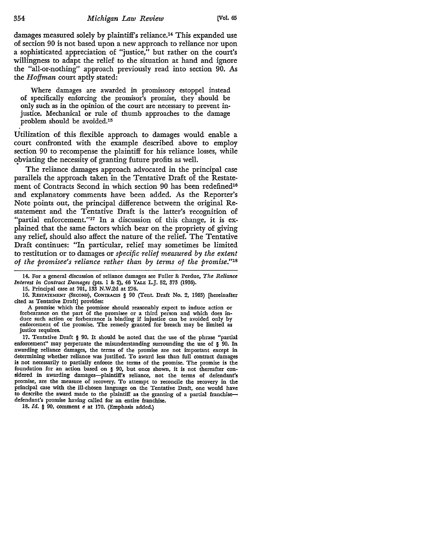damages measured solely by plaintiff's reliance.14 This expanded use of section 90 is not based upon a new approach to reliance nor upon a sophisticated appreciation of "justice," but rather on the court's willingness to adapt the relief to the situation at hand and ignore the "all-or-nothing" approach previously read into section 90. As the *Hoffman* court aptly stated:

Where damages are awarded in promissory estoppel instead of specifically enforcing the promisor's promise, they should be only such as in the opinion of the court are necessary to prevent injustice. Mechanical or rule of thumb approaches to the damage problem should be avoided.15

Utilization of this flexible approach to damages would enable a court confronted with the example described above to employ section 90 to recompense the plaintiff for his reliance losses, while ~bviating the necessity of granting future profits as well.

The reliance damages approach advocated in the principal case parallels the approach taken in the Tentative Draft of the Restatement of Contracts Second in which section 90 has been redefined<sup>16</sup> and explanatory comments have been added. As the Reporter's Note points out, the principal difference between the original Restatement and the Tentative Draft is the latter's recognition of "partial enforcement."<sup>17</sup> In a discussion of this change, it is explained that the same factors which bear on the propriety of giving any relief, should also affect the nature of the relief. The Tentative Draft continues: "In particular, relief may sometimes be limited to restitution or to damages or *specific relief measured* by *the extent of the promisee's reliance rather than* by *terms of the promise."18* 

14. For a general discussion of reliance damages see Fuller&: Perdue, *The Reliance Interest in Contract Damages* (pts. 1 &: 2), 46 YALE L.J. 52, 373 (1936).

15. Principal case at 701, 133 N.W.2d at 276.

16. RESTATEMENT (SECOND), CONTRACTS § 90 (Tent. Draft No. 2, 1965) [hereinafter cited as Tentative Draft] provides:

A promise which the promisor should reasonably expect to induce action or forbearance on the part of the promisee or a third person and which does induce such action or forbearance is binding if injustice can be avoided only by enforcement of the promise. The remedy granted for breach may be limited as justice requires.

17. Tentative Draft § 90. It should be noted that the use of the phrase "partial enforcement" may perpetuate the misunderstanding surrounding the use of § 90. In awarding reliance damages, the terms of the promise are not important except in determining whether reliance was justified. To award less than full contract damages is not necessarily to partially enforce the terms of the promise. The promise is the foundation for an action based on § 90, but once shown, it is not thereafter considered in awarding damages-plaintiff's reliance, not the terms of defendant's promise, are the measure of recovery. To attempt to reconcile the recovery in the principal case with the ill-chosen language on the Tentative Draft, one would have to describe the award made to the plaintiff as the granting of a partial franchisedefendant's promise having called for an entire franchise.

18. *Id.* § 90, comment e at 170. (Emphasis added.)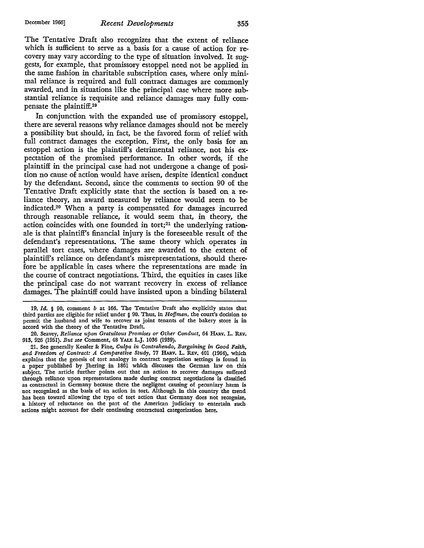The Tentative Draft also recognizes that the extent of reliance which is sufficient to serve as a basis for a cause of action for recovery may vary according to the type of situation involved. It suggests, for example, that promissory estoppel need not be applied in the same fashion in charitable subscription cases, where only minimal reliance is required and full contract damages are commonly awarded, and in situations like the principal case where more substantial reliance is requisite and reliance damages may fully compensate the plaintiff.19

In conjunction with the expanded use of promissory estoppel, there are several reasons why reliance damages should not be merely a possibility but should, in fact, be the favored form of relief with full contract damages the exception. First, the only basis for an estoppel action is the plaintiff's detrimental reliance, not his expectation of the promised performance. In other words, if the plaintiff in the principal case had not undergone a change of position no cause of action would have arisen, despite identical conduct by the defendant. Second, since the comments to section 90 of the Tentative Draft explicitly state that the section is based on a reliance theory, an award measured by reliance would seem to be indicated.20 When a party is compensated for damages incurred through reasonable reliance, it would seem that, in theory, the action coincides with one founded in tort;<sup>21</sup> the underlying rationale is that plaintiff's financial injury is the foreseeable result of the defendant's representations. The same theory which operates in parallel tort cases, where damages are awarded to the extent of plaintiff's reliance on defendant's misrepresentations, should therefore be applicable in cases where the representations are made in the course of contract negotiations. Third, the equities in cases like the principal case do not warrant recovery in excess of reliance damages. The plaintiff could have insisted upon a binding bilateral

19. *Id.* § 90, comment *b* at 166. The Tentative Draft also explicitly states that third parties are eligible for relief under § 90. Thus, in *Hoffman,* the court's decision to permit the husband and wife to recover as joint tenants of the bakery store is in accord with the theory of the Tentative Draft.

20. Seavey, *Reliance upon Gratuitous Promises or Other Conduct*, 64 HARV. L. REV. 913, 926 (1951). *But see* Comment, 48 YALE L.J. 1036 (1939).

21. See generally Kessler &: Fine, *Culpa in Contrahendo, Bargaining in Good Faith,*  and Freedom of Contract: A Comparative Study, 77 HARV. L. REV. 401 (1964), which explains that the genesis of tort analogy in contract negotiation settings is found in a paper published by Jhering in 1861 which discusses the German law on this subject. The article further points out that an action to recover damages suffered through reliance upon representations made during contract negotiations is classified as contractual in Germany because there the negligent causing of pecuniary harm is not recognized as the basis of an action in tort. Although in this country the trend has been toward allowing the type of tort action that Germany does not recognize, a history of reluctance on the part of the American judiciary to entertain such actions might account for their continuing contractual categorization here.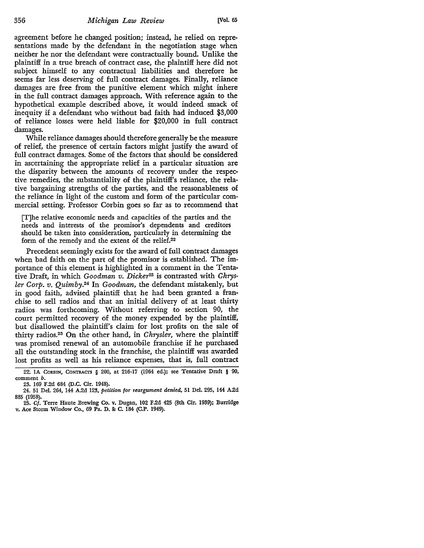agreement before he changed position; instead, he relied on representations made by the defendant in the negotiation stage when neither he nor the defendant were contractually bound. Unlike the plaintiff in a true breach of contract case, the plaintiff here did not subject himself to any contractual liabilities and therefore he seems far less deserving of full contract damages. Finally, reliance damages are free from the punitive element which might inhere in the full contract damages approach. With reference again to the hypothetical example described above, it would indeed smack of inequity if a defendant who without bad faith had induced \$3,000 of reliance losses were held liable for \$20,000 in full contract damages.

While reliance damages should therefore generally be the measure of relief, the presence of certain factors might justify the award of full contract damages. Some of the factors that should be considered in ascertaining the appropriate relief in a particular situation are the disparity between the amounts of recovery under the respective remedies, the substantiality of the plaintiff's reliance, the relative bargaining strengths of the parties, and the reasonableness of the reliance in light of the custom and form of the particular commercial setting. Professor Corbin goes so far as to recommend that

[T]he relative economic needs and capacities of the parties and the needs and interests of the promisor's dependents and creditors should be taken into consideration, particularly in determining the form of the remedy and the extent of the relief.22

Precedent seemingly exists for the award of full contract damages when bad faith on the part of the promisor is established. The importance of this element is highlighted in a comment in the Tentative Draft, in which *Goodman v. Dicker23* is contrasted with *Chrysler Corp. v. Quimby.24* In *Goodman,* the defendant mistakenly, but in good faith, advised plaintiff that he had been granted a franchise to sell radios and that an initial delivery of at least thirty radios was forthcoming. Without referring to section 90, the court permitted recovery of the money expended by the plaintiff, but disallowed the plaintiff's claim for lost profits on the sale of thirty radios.25 On the other hand, in *Chrysler,* where the plaintiff was promised renewal of an automobile franchise if he purchased all the outstanding stock in the franchise, the plaintiff was awarded lost profits as well as his reliance expenses, that is, full contract

<sup>22.</sup> IA CORBIN, CONTRACTS § 200, at 216-17 (1964 ed.); see Tentative Draft § 90, comment *b.* 

<sup>23. 169</sup> F.2d 684 (D.C. Cir. 1948).

<sup>24. 51</sup> Del. 264, 144 A.2d 123, *petition for reargument denied,* 51 Del. 295, 144 A.2d 885 (1958).

<sup>25.</sup> Cf. Terre Haute Brewing Co. v. Dugan, 102 F.2d 425 (8th Cir. 1939); Burridge v. Ace Storm Window Co., 69 Pa. D. & C. 184 (C.P. 1949).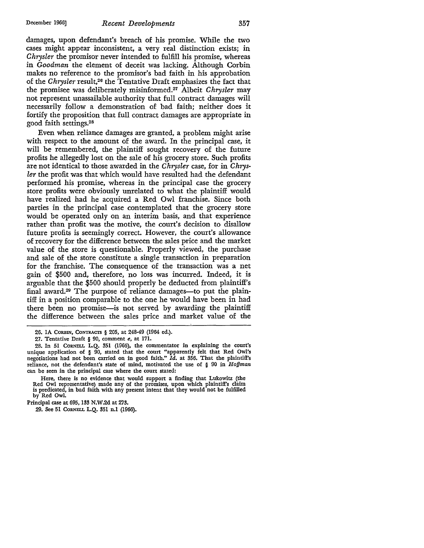damages, upon defendant's breach of his promise. While the two cases might appear inconsistent, a very real distinction exists; in *Chrysler* the promisor never intended to fulfill his promise, whereas in *Goodman* the element of deceit was lacking. Although Corbin makes no reference to the promisor's bad faith in his approbation of the *Chrysler* result,26 the Tentative Draft emphasizes the fact that the promisee was deliberately misinformed.27 Albeit *Chrysler* may not represent unassailable authority that full contract damages will necessarily follow a demonstration of bad faith; neither does it fortify the proposition that full contract damages are appropriate in good faith settings.<sup>28</sup>

Even when reliance damages are granted, a problem might arise with respect to the amount of the award. In the principal case, it will be remembered, the plaintiff sought recovery of the future profits he allegedly lost on the sale of his grocery store. Such profits are not identical to those awarded in the *Chrysler case,* for in *Chrysler* the profit was that which would have resulted had the defendant performed his promise, whereas in the principal case the grocery store profits were obviously unrelated to what the plaintiff would have realized had he acquired a Red Owl franchise. Since both parties in the principal case contemplated that the grocery store would be operated only on an interim basis, and that experience rather than profit was the motive, the court's decision to disallow future profits is seemingly correct. However, the court's allowance of recovery for the difference between the sales price and the market value of the store is questionable. Properly viewed, the purchase and sale of the store constitute a single transaction in preparation for the franchise. The consequence of the transaction was a net gain of \$500 and, therefore, no loss was incurred. Indeed, it is arguable that the \$500 should properly be deducted from plaintiff's final award.<sup>29</sup> The purpose of reliance damages—to put the plaintiff in a position comparable to the one he would have been in had there been no promise-is not served by awarding the plaintiff the difference between the sales price and market value of the

29. See 51 CORNELL L.Q. 351 n.l (1966).

<sup>26.</sup> IA CORBIN, CONTRACTS § 205, at 248-49 (1964 ed.).

<sup>27.</sup> Tentative Draft § 90, comment *e,* at 171.

<sup>28.</sup> In 51 CORNELL L.Q. 351 (1966), the commentator in explaining the court's unique application of § 90, stated that the court "apparently felt that Red Owl's negotiations had not been carried on in good faith." *Id.* at 356. That the plaintiff's reliance, not the defendant's state of mind, motivated the use of § 90 in *Hoffman*  can be seen in the principal case where the court stated:

Here, there is no evidence that would support a finding that Lukowitz (the Red Owl representative) made any of the promises, upon which plaintiff's claim is predicated, in bad faith with any present intent that they would not be fulfilled by Red Owl.

Principal case at 695, 133 N.W .2d at 273.